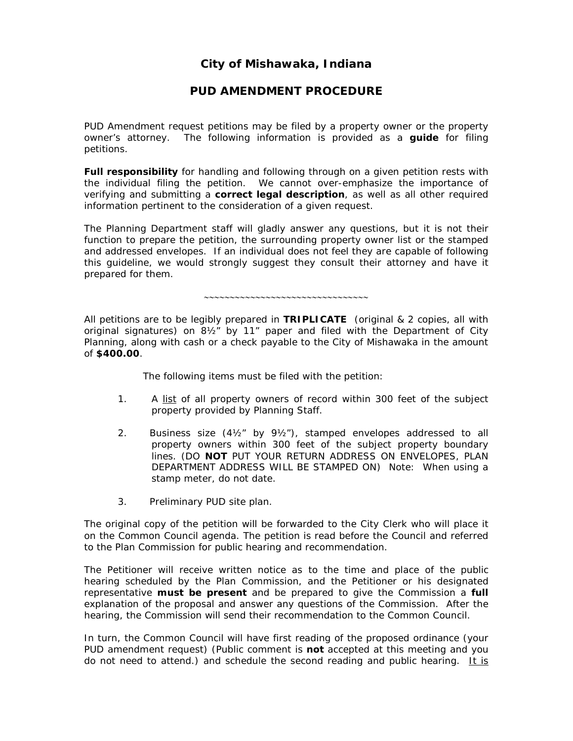# *City of Mishawaka, Indiana*

## *PUD AMENDMENT PROCEDURE*

PUD Amendment request petitions may be filed by a property owner or the property owner's attorney. The following information is provided as a *guide* for filing petitions.

*Full responsibility* for handling and following through on a given petition rests with the individual filing the petition. We cannot over-emphasize the importance of verifying and submitting a *correct legal description*, as well as all other required information pertinent to the consideration of a given request.

The Planning Department staff will gladly answer any questions, but it is not their function to prepare the petition, the surrounding property owner list or the stamped and addressed envelopes. If an individual does not feel they are capable of following this guideline, we would strongly suggest they consult their attorney and have it prepared for them.

∼∼∼∼∼∼∼∼∼∼∼∼∼∼∼∼∼∼∼∼∼∼∼∼∼∼∼∼∼∼∼∼

All petitions are to be legibly prepared in **TRIPLICATE** (original & 2 copies, all with original signatures) on 8½" by 11" paper and filed with the Department of City Planning, along with cash or a check payable to the *City of Mishawaka* in the amount of **\$400.00**.

The following items must be filed with the petition:

- 1. A list of all property owners of record within 300 feet of the subject property provided by Planning Staff.
- 2. Business size  $(4\frac{1}{2}$ " by  $9\frac{1}{2}$ "), stamped envelopes addressed to all property owners within 300 feet of the subject property boundary lines. (DO **NOT** PUT YOUR RETURN ADDRESS ON ENVELOPES, PLAN DEPARTMENT ADDRESS WILL BE STAMPED ON) *Note: When using a stamp meter, do not date.*
- 3. Preliminary PUD site plan.

The original copy of the petition will be forwarded to the City Clerk who will place it on the Common Council agenda. The petition is read before the Council and referred to the Plan Commission for public hearing and recommendation.

The Petitioner will receive written notice as to the time and place of the public hearing scheduled by the Plan Commission, and the Petitioner or his designated representative *must be present* and be prepared to give the Commission a *full* explanation of the proposal and answer any questions of the Commission. After the hearing, the Commission will send their recommendation to the Common Council.

In turn, the Common Council will have first reading of the proposed ordinance (your PUD amendment request) (Public comment is *not* accepted at this meeting and you do not need to attend.) and schedule the second reading and public hearing. *It is*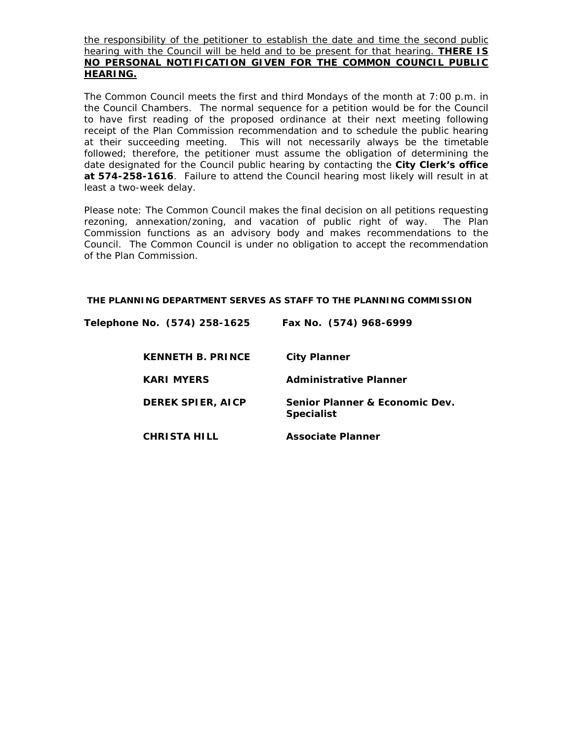*the responsibility of the petitioner to establish the date and time the second public hearing with the Council will be held and to be present for that hearing. THERE IS NO PERSONAL NOTIFICATION GIVEN FOR THE COMMON COUNCIL PUBLIC HEARING.*

The Common Council meets the first and third Mondays of the month at 7:00 p.m. in the Council Chambers. The normal sequence for a petition would be for the Council to have first reading of the proposed ordinance at their next meeting following receipt of the Plan Commission recommendation and to schedule the public hearing at their succeeding meeting. *This will not necessarily always be the timetable followed*; therefore, the petitioner must assume the obligation of determining the date designated for the Council public hearing by contacting the **City Clerk's office at 574-258-1616**. Failure to attend the Council hearing most likely will result in at least a two-week delay.

Please note: The Common Council makes the final decision on all petitions requesting rezoning, annexation/zoning, and vacation of public right of way. The Plan Commission functions as an advisory body and makes *recommendations* to the Council. The Common Council is under no obligation to accept the recommendation of the Plan Commission.

#### **THE PLANNING DEPARTMENT SERVES AS STAFF TO THE PLANNING COMMISSION**

| Telephone No. (574) 258-1625 | Fax No. (574) 968-6999                              |
|------------------------------|-----------------------------------------------------|
| <b>KENNETH B. PRINCE</b>     | <b>City Planner</b>                                 |
| <b>KARI MYERS</b>            | <b>Administrative Planner</b>                       |
| <b>DEREK SPIER, AICP</b>     | Senior Planner & Economic Dev.<br><b>Specialist</b> |
| <b>CHRISTA HILL</b>          | <b>Associate Planner</b>                            |